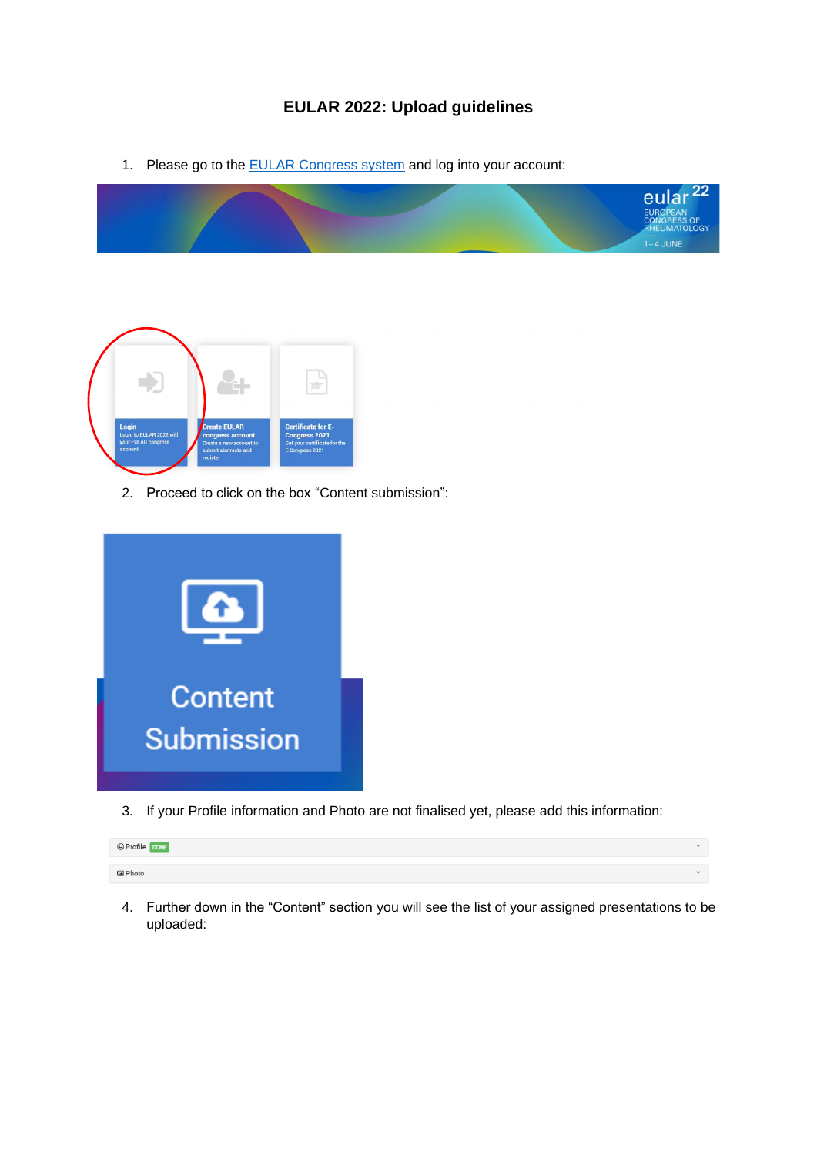## **EULAR 2022: Upload guidelines**

1. Please go to the **EULAR Congress system** and log into your account:





2. Proceed to click on the box "Content submission":



3. If your Profile information and Photo are not finalised yet, please add this information:

| @ Profile DONE  | $\sim$ |
|-----------------|--------|
|                 |        |
| <u>la Photo</u> | $\sim$ |

4. Further down in the "Content" section you will see the list of your assigned presentations to be uploaded: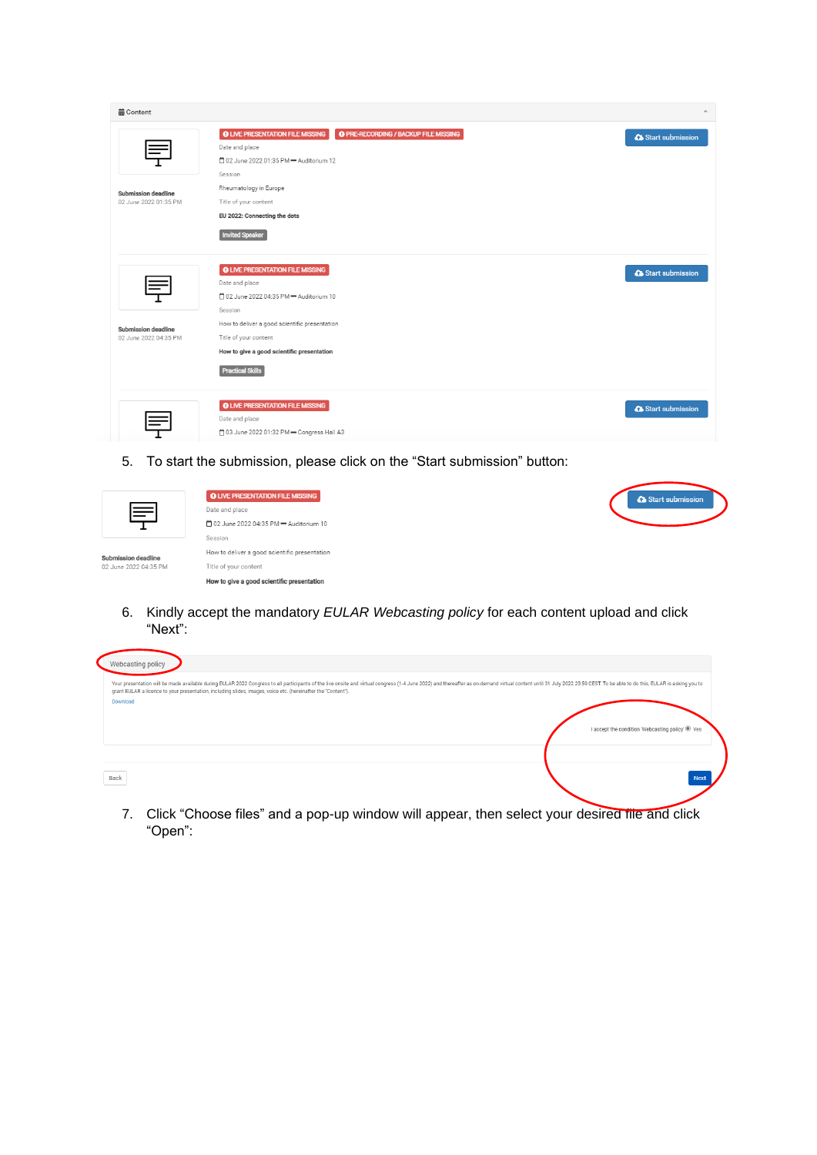| <b>前Content</b>                                     |                                                                                                                                                                                                                                                                               | $\widehat{\phantom{a}}$ |
|-----------------------------------------------------|-------------------------------------------------------------------------------------------------------------------------------------------------------------------------------------------------------------------------------------------------------------------------------|-------------------------|
| <b>Submission deadline</b><br>02 June 2022 01:35 PM | <b>O PRE-RECORDING / BACKUP FILE MISSING</b><br><b>O LIVE PRESENTATION FILE MISSING</b><br>Date and place<br>12 02 June 2022 01:35 PM - Auditorium 12<br>Session<br>Rheumatology in Europe<br>Title of your content<br>EU 2022: Connecting the dots<br><b>Invited Speaker</b> | Start submission        |
| Submission deadline<br>02 June 2022 04:35 PM        | <b>O LIVE PRESENTATION FILE MISSING</b><br>Date and place<br>□ 02 June 2022 04:35 PM = Auditorium 10<br>Session<br>How to deliver a good scientific presentation<br>Title of your content<br>How to give a good scientific presentation<br><b>Practical Skills</b>            | Start submission        |
|                                                     | <b>O LIVE PRESENTATION FILE MISSING</b><br>Date and place<br>41 03 June 2022 01:32 PM - Congress Hall A3                                                                                                                                                                      | Start submission        |

5. To start the submission, please click on the "Start submission" button:

| 巪                                            | <b>O LIVE PRESENTATION FILE MISSING</b><br>Date and place<br>□ 02 June 2022 04:35 PM = Auditorium 10<br>Session | Start submission |
|----------------------------------------------|-----------------------------------------------------------------------------------------------------------------|------------------|
| Submission deadline<br>02 June 2022 04:35 PM | How to deliver a good scientific presentation<br>Title of your content                                          |                  |
|                                              | How to give a good scientific presentation                                                                      |                  |

6. Kindly accept the mandatory *EULAR Webcasting policy* for each content upload and click "Next":

| Webcasting policy                                                                                             |                                                                                                                                                                                                                               |
|---------------------------------------------------------------------------------------------------------------|-------------------------------------------------------------------------------------------------------------------------------------------------------------------------------------------------------------------------------|
| grant EULAR a licence to your presentation, including slides, images, voice etc. (hereinafter the "Content"). | Your presentation will be made available during EULAR 2022 Congress to all participants of the live onsite and virtual congress (1-4 June 2022) and thereafter as on-demand virtual content until 31 July 2022 23:59 CEST. To |
| Download                                                                                                      |                                                                                                                                                                                                                               |
|                                                                                                               | I accept the condition 'Webcasting policy' @ Yes                                                                                                                                                                              |
|                                                                                                               |                                                                                                                                                                                                                               |
| Back                                                                                                          | <b>Next</b>                                                                                                                                                                                                                   |
|                                                                                                               |                                                                                                                                                                                                                               |

7. Click "Choose files" and a pop-up window will appear, then select your desired file and click "Open":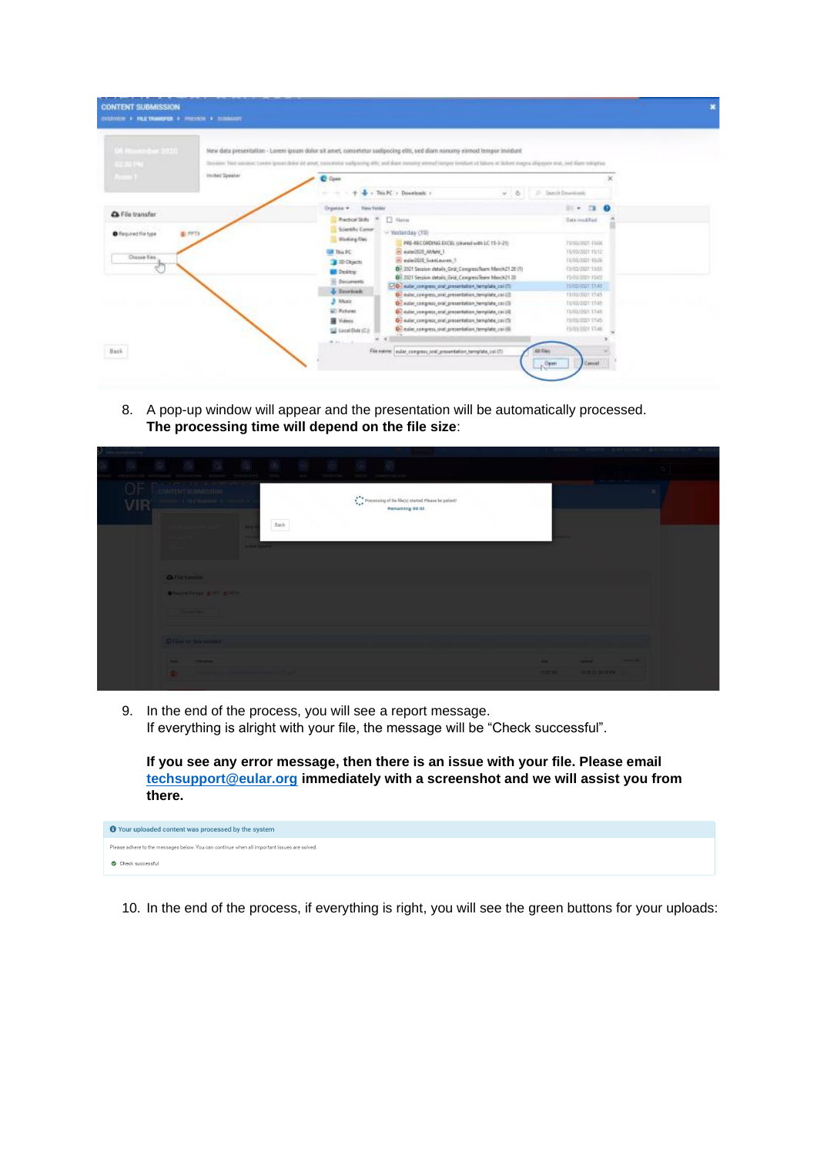| Of However 2020                                      |                 |                                                                                                                                                                                | New data presentation - Lorem ippani dolor sit arriet, conseletar sadipocking elity, sed diam nonomy elimod tempor invidunt                                                                                                                                                                                                                                                                                                                                                                                                                |                                                                                                                                                                                                 |           |  |
|------------------------------------------------------|-----------------|--------------------------------------------------------------------------------------------------------------------------------------------------------------------------------|--------------------------------------------------------------------------------------------------------------------------------------------------------------------------------------------------------------------------------------------------------------------------------------------------------------------------------------------------------------------------------------------------------------------------------------------------------------------------------------------------------------------------------------------|-------------------------------------------------------------------------------------------------------------------------------------------------------------------------------------------------|-----------|--|
| <b>BETWEEN</b>                                       |                 |                                                                                                                                                                                | Denoise: Text seconds: Lange gover duty of anyt, constitution subpsoling offic, and duty remember premed langer involved of Jalines of Billers magne alliance ental, and diam retraining                                                                                                                                                                                                                                                                                                                                                   |                                                                                                                                                                                                 |           |  |
| $-1$                                                 | Invited Speaker | C Open                                                                                                                                                                         |                                                                                                                                                                                                                                                                                                                                                                                                                                                                                                                                            |                                                                                                                                                                                                 | ×         |  |
|                                                      |                 |                                                                                                                                                                                | + - This PC + Desembority +<br>$v - 8$                                                                                                                                                                                                                                                                                                                                                                                                                                                                                                     | P. Sanch Dovelium                                                                                                                                                                               |           |  |
|                                                      |                 | Organize *<br>New Exider                                                                                                                                                       |                                                                                                                                                                                                                                                                                                                                                                                                                                                                                                                                            | $\cdots$<br>$\mathbf{B}$                                                                                                                                                                        | $\bullet$ |  |
| A File transfer                                      |                 | <b>Practical Skills</b>                                                                                                                                                        | <b>TT</b> Name                                                                                                                                                                                                                                                                                                                                                                                                                                                                                                                             | Date could led                                                                                                                                                                                  |           |  |
| 图 PPTX<br><b>O</b> Required file type<br>Diguse Ees. |                 | Scientific Corner<br>Weeking files<br><b>III</b> This PC<br>10 Objects<br><b>UI</b> Desktop<br>(1) Documents<br>& Douglast<br><b>Nusic</b><br><b>Will Farbanes</b><br>羅 Videos | - Yesterday (19)<br>PRE-RECORDING EXCEL (UNHAT with LC 15-3-21)<br>B euler2525 AMent 1<br>ill edelible Svanlauren, 5.<br>Dr 2021 Session details Grid Congress Reen March21 20 (1)<br>(b) 2021 Session details, Grid, CongressTeam Masch21 20<br>[7] euler congress one presentation henglate cold !!<br>D. exitor_completio_mixt_presentation_homplishe_car(2)<br>C exter compress one presentation herrorists call (3)<br>Gi euler reexpress, and presentation homplate collid-<br>Di euler comprezz unal presentation bemplate call (3) | Hyacouri rape<br>TIMOUSIST TIME:<br>11/01/2021 15:36<br>EUGLISEET TAGS<br><b>FLOLOGIE 13.03</b><br><b>FIARD STATE TIME</b><br>FILMOLOGIE 17/45<br>HASSISTENE<br>EMBARRETTMN<br>19/03/2021 17:45 |           |  |
|                                                      |                 | Sil Lecal Directly                                                                                                                                                             | D. evier, compress, and presentation hemplate, car (6)                                                                                                                                                                                                                                                                                                                                                                                                                                                                                     | 15/05/2021 17:46                                                                                                                                                                                |           |  |

8. A pop-up window will appear and the presentation will be automatically processed. **The processing time will depend on the file size**:

| VIR |       | ALLENDA RAILWAY<br>CONTENT SUBMISSION<br>- 4 FEE THARTER     |                   | $_{\rm{Bick}}$ |  | $\stackrel{\bullet}{\bullet}^{\bullet\bullet}_{\bullet\bullet}$ Processing of the file(s) started. Please be patient!<br>Remaining 00:05 |                    |                                    |                  |  |
|-----|-------|--------------------------------------------------------------|-------------------|----------------|--|------------------------------------------------------------------------------------------------------------------------------------------|--------------------|------------------------------------|------------------|--|
|     |       | <b>Of the transfer</b>                                       | <b>SCOTT SHOW</b> |                |  |                                                                                                                                          |                    |                                    |                  |  |
|     |       | <b>DESCRIPTION &amp; ST. BILLETT.</b><br><b>Constitution</b> |                   |                |  |                                                                                                                                          |                    |                                    |                  |  |
|     |       | <b>Different four than comments</b>                          |                   |                |  |                                                                                                                                          |                    |                                    |                  |  |
|     | l al- | <b>Bank Channel</b>                                          |                   |                |  |                                                                                                                                          | œ<br><b>CLETTE</b> | <b>START OF</b><br><b>KRIDS ON</b> | <b>Secretary</b> |  |

9. In the end of the process, you will see a report message. If everything is alright with your file, the message will be "Check successful".

**If you see any error message, then there is an issue with your file. Please email [techsupport@eular.org](mailto:techsupport@eular.org) immediately with a screenshot and we will assist you from there.**

| <b>O</b> Your uploaded content was processed by the system                                  |
|---------------------------------------------------------------------------------------------|
| Please adhere to the messages below. You can continue when all important issues are solved. |
| Check successful                                                                            |
|                                                                                             |

10. In the end of the process, if everything is right, you will see the green buttons for your uploads: